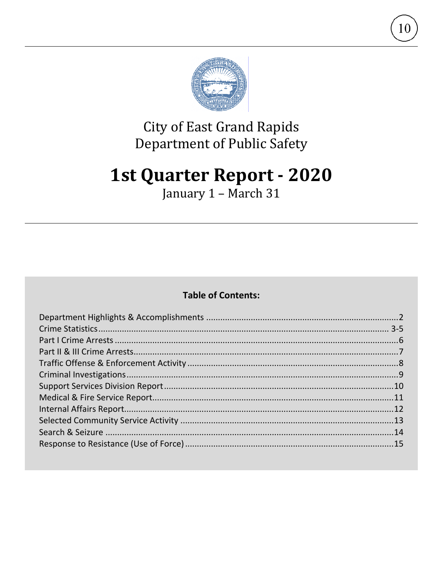

10

# **City of East Grand Rapids** Department of Public Safety

# **1st Quarter Report - 2020**

January 1 - March 31

### **Table of Contents:**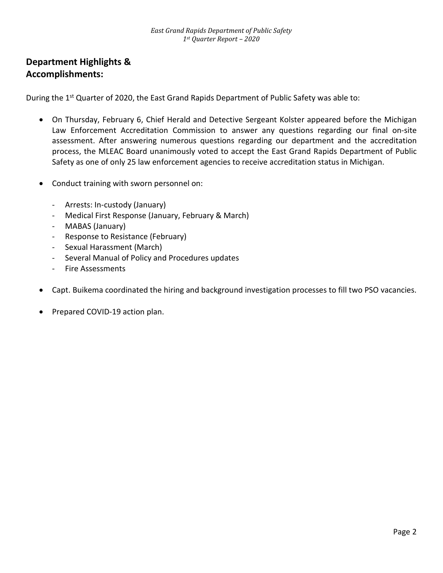### **Department Highlights & Accomplishments:**

During the 1<sup>st</sup> Quarter of 2020, the East Grand Rapids Department of Public Safety was able to:

- On Thursday, February 6, Chief Herald and Detective Sergeant Kolster appeared before the Michigan Law Enforcement Accreditation Commission to answer any questions regarding our final on-site assessment. After answering numerous questions regarding our department and the accreditation process, the MLEAC Board unanimously voted to accept the East Grand Rapids Department of Public Safety as one of only 25 law enforcement agencies to receive accreditation status in Michigan.
- Conduct training with sworn personnel on:
	- Arrests: In-custody (January)
	- Medical First Response (January, February & March)
	- MABAS (January)
	- Response to Resistance (February)
	- Sexual Harassment (March)
	- Several Manual of Policy and Procedures updates
	- Fire Assessments
- Capt. Buikema coordinated the hiring and background investigation processes to fill two PSO vacancies.
- Prepared COVID-19 action plan.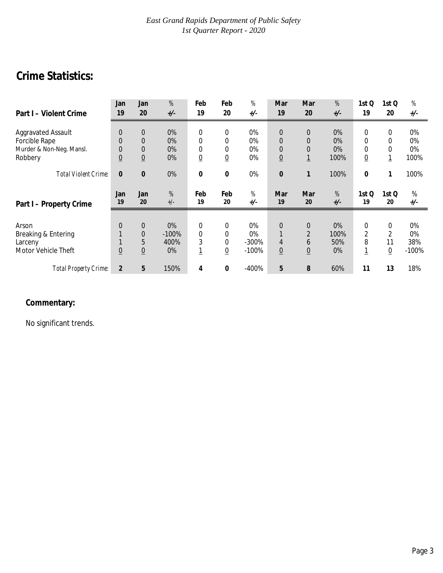# **Crime Statistics:**

| Part I - Violent Crime      | Jan<br>19       | Jan<br>20       | %<br>$+/-$ | Feb<br>19       | Feb<br>20      | %<br>$+/-$ | Mar<br>19        | Mar<br>20      | %<br>$+/-$                                                                                        | 1st Q<br>19     | 1st Q<br>20     | $% \mathcal{A}_{\mathrm{C}}\times\mathcal{A}_{\mathrm{C}}\times\mathcal{A}_{\mathrm{C}}$<br>$+/-$ |
|-----------------------------|-----------------|-----------------|------------|-----------------|----------------|------------|------------------|----------------|---------------------------------------------------------------------------------------------------|-----------------|-----------------|---------------------------------------------------------------------------------------------------|
|                             |                 |                 |            |                 |                |            |                  |                |                                                                                                   |                 |                 |                                                                                                   |
| <b>Aggravated Assault</b>   | $\overline{0}$  | $\overline{0}$  | 0%         | $\overline{0}$  | 0              | 0%         | $\boldsymbol{0}$ | $\overline{0}$ | 0%                                                                                                | 0               | 0               | 0%                                                                                                |
| Forcible Rape               | $\Omega$        | $\mathbf 0$     | 0%         | 0               | 0              | $0\%$      | $\mathbf{0}$     | $\Omega$       | $0\%$                                                                                             | 0               | 0               | 0%                                                                                                |
| Murder & Non-Neg. Mansl.    | $\overline{0}$  | $\mathbf{0}$    | 0%         | 0               | 0              | 0%         | $\mathbf 0$      | $\overline{0}$ | 0%                                                                                                | 0               | 0               | 0%                                                                                                |
| Robbery                     | $\underline{0}$ | $\overline{0}$  | 0%         | $\underline{0}$ | $\overline{0}$ | 0%         | $\underline{0}$  | $\mathbf{1}$   | 100%                                                                                              | $\underline{0}$ | <u> 1</u>       | 100%                                                                                              |
|                             |                 |                 |            |                 |                |            |                  |                |                                                                                                   |                 |                 |                                                                                                   |
| <b>Total Violent Crime:</b> | $\bf{0}$        | $\bf{0}$        | 0%         | 0               | 0              | 0%         | $\bf{0}$         | 1              | 100%                                                                                              | 0               |                 | 100%                                                                                              |
|                             |                 |                 |            |                 |                |            |                  |                |                                                                                                   |                 |                 |                                                                                                   |
|                             |                 |                 |            |                 |                |            |                  |                |                                                                                                   |                 |                 |                                                                                                   |
|                             | Jan             | Jan             |            |                 |                | %          |                  |                |                                                                                                   |                 |                 |                                                                                                   |
|                             | 19              | 20              | %<br>$+/-$ | Feb<br>19       | Feb<br>20      | $+/-$      | Mar<br>19        | Mar<br>20      | $% \mathcal{A}_{\mathrm{C}}\times\mathcal{A}_{\mathrm{C}}\times\mathcal{A}_{\mathrm{C}}$<br>$+/-$ | 1st Q<br>19     | 1st Q<br>20     | %<br>$+/-$                                                                                        |
| Part I - Property Crime     |                 |                 |            |                 |                |            |                  |                |                                                                                                   |                 |                 |                                                                                                   |
|                             |                 |                 |            |                 |                |            |                  |                |                                                                                                   |                 |                 |                                                                                                   |
| Arson                       | $\Omega$        | $\mathbf 0$     | $0\%$      | $\overline{0}$  | 0              | $0\%$      | $\mathbf 0$      | $\overline{0}$ | $0\%$                                                                                             | $\mathbf 0$     | 0               | 0%                                                                                                |
| Breaking & Entering         |                 | $\theta$        | $-100%$    | 0               | 0              | 0%         |                  | $\overline{2}$ | 100%                                                                                              | $\overline{2}$  | 2               | 0%                                                                                                |
| Larceny                     |                 | 5               | 400%       | 3               | 0              | $-300%$    | 4                | 6              | 50%                                                                                               | 8               | 11              | 38%                                                                                               |
| Motor Vehicle Theft         | $\overline{0}$  | $\underline{0}$ | 0%         | <u> 1</u>       | $\overline{0}$ | $-100%$    | $0$              | $\overline{0}$ | 0%                                                                                                | <u>1</u>        | $\underline{0}$ | $-100%$                                                                                           |
|                             |                 |                 |            |                 |                |            |                  |                |                                                                                                   |                 |                 |                                                                                                   |

# **Commentary:**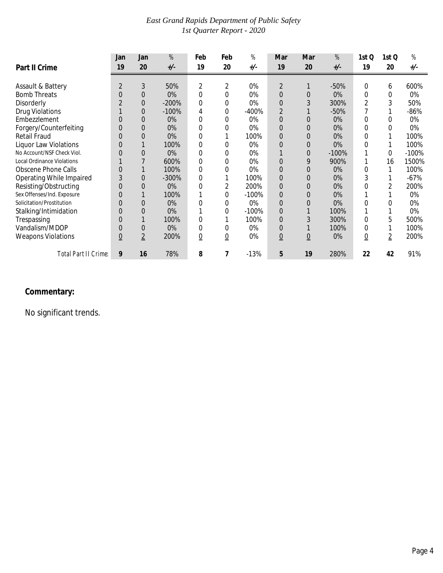|                                   | Jan            | Jan            | %       | Feb            | Feb            | %       | Mar             | Mar             | $% \mathcal{A}_{\mathrm{C}}\times\mathcal{A}_{\mathrm{C}}\times\mathcal{A}_{\mathrm{C}}$ | 1st Q          | 1st Q          | %       |
|-----------------------------------|----------------|----------------|---------|----------------|----------------|---------|-----------------|-----------------|------------------------------------------------------------------------------------------|----------------|----------------|---------|
| Part II Crime                     | 19             | 20             | $+/-$   | 19             | 20             | $+/-$   | 19              | 20              | $+/-$                                                                                    | 19             | 20             | +/-     |
|                                   |                |                |         |                |                |         |                 |                 |                                                                                          |                |                |         |
| Assault & Battery                 | $\overline{2}$ | 3              | 50%     | 2              | 2              | 0%      | $\overline{2}$  |                 | $-50%$                                                                                   | 0              | 6              | 600%    |
| <b>Bomb Threats</b>               | 0              | $\overline{0}$ | 0%      | 0              | 0              | 0%      | $\overline{0}$  | 0               | 0%                                                                                       | 0              | $\Omega$       | 0%      |
| Disorderly                        |                | $\Omega$       | $-200%$ | 0              | 0              | 0%      | $\Omega$        | 3               | 300%                                                                                     | 2              | 3              | 50%     |
| <b>Drug Violations</b>            |                | $\overline{0}$ | $-100%$ | 4              | 0              | $-400%$ | $\overline{2}$  |                 | $-50%$                                                                                   |                |                | $-86%$  |
| Embezzlement                      | C              | $\Omega$       | 0%      | 0              | 0              | 0%      | $\Omega$        | 0               | 0%                                                                                       | 0              | 0              | 0%      |
| Forgery/Counterfeiting            | 0              | $\overline{0}$ | 0%      | 0              | 0              | 0%      | $\overline{0}$  | 0               | 0%                                                                                       | 0              | 0              | 0%      |
| <b>Retail Fraud</b>               |                | $\Omega$       | 0%      | 0              |                | 100%    | $\overline{0}$  | 0               | 0%                                                                                       | 0              |                | 100%    |
| <b>Liquor Law Violations</b>      | 0              |                | 100%    | 0              |                | 0%      | $\overline{0}$  | 0               | 0%                                                                                       | 0              |                | 100%    |
| No Account/NSF Check Viol.        | 0              | 0              | 0%      | 0              | 0              | 0%      |                 | 0               | $-100%$                                                                                  |                | $\Omega$       | $-100%$ |
| <b>Local Ordinance Violations</b> |                |                | 600%    | 0              | 0              | 0%      | 0               | 9               | 900%                                                                                     |                | 16             | 1500%   |
| <b>Obscene Phone Calls</b>        | 0              |                | 100%    | 0              | 0              | 0%      | $\overline{0}$  | 0               | 0%                                                                                       | 0              |                | 100%    |
| Operating While Impaired          | 3              | $\overline{0}$ | $-300%$ | 0              |                | 100%    | $\mathbf 0$     | 0               | 0%                                                                                       | 3              |                | $-67%$  |
| Resisting/Obstructing             | 0              | $\Omega$       | 0%      | 0              | 2              | 200%    | $\mathbf 0$     | 0               | 0%                                                                                       | C              | 2              | 200%    |
| Sex Offenses/Ind. Exposure        | 0              |                | 100%    |                | 0              | $-100%$ | $\overline{0}$  | 0               | 0%                                                                                       |                |                | 0%      |
| Solicitation/Prostitution         | 0              | $\Omega$       | 0%      | 0              | 0              | 0%      | $\mathbf 0$     | 0               | 0%                                                                                       | 0              | 0              | 0%      |
| Stalking/Intimidation             | 0              | $\Omega$       | 0%      |                | 0              | $-100%$ | $\mathbf 0$     |                 | 100%                                                                                     |                |                | 0%      |
| Trespassing                       | 0              |                | 100%    | 0              |                | 100%    | $\overline{0}$  | 3               | 300%                                                                                     | 0              | 5              | 500%    |
| Vandalism/MDOP                    | 0              | $\overline{0}$ | 0%      | 0              | 0              | 0%      | $\overline{0}$  |                 | 100%                                                                                     | 0              |                | 100%    |
| <b>Weapons Violations</b>         | 0              | $\overline{2}$ | 200%    | $\overline{0}$ | $\overline{0}$ | 0%      | $\underline{0}$ | $\underline{0}$ | 0%                                                                                       | $\overline{0}$ | $\overline{2}$ | 200%    |
| Total Part II Crime:              | 9              | 16             | 78%     | 8              | 7              | $-13%$  | 5               | 19              | 280%                                                                                     | 22             | 42             | 91%     |

#### **Commentary:**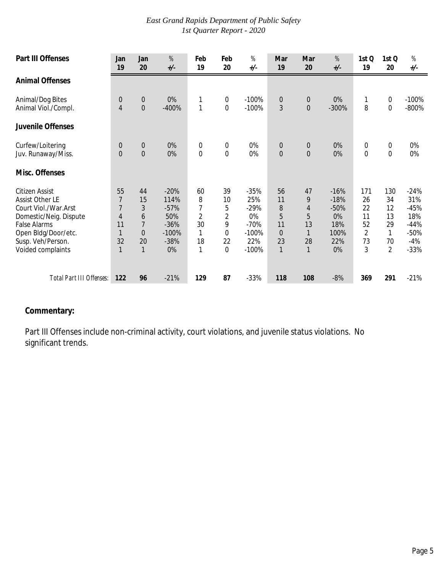| <b>Part III Offenses</b>                                                                                                                                                           | Jan<br>19                                                                    | Jan<br>20                                                                    | $\%$<br>$+/-$                                                        | Feb<br>19                                                       | Feb<br>20                                              | $\%$<br>$+/-$                                                        | Mar<br>19                                                        | Mar<br>20                                     | %<br>$+/-$                                                   | 1st Q<br>19                                 | 1st Q<br>20                                              | $% \mathcal{A}_{\mathrm{C}}\times\mathcal{A}_{\mathrm{C}}\times\mathcal{A}_{\mathrm{C}}$<br>$+/-$ |
|------------------------------------------------------------------------------------------------------------------------------------------------------------------------------------|------------------------------------------------------------------------------|------------------------------------------------------------------------------|----------------------------------------------------------------------|-----------------------------------------------------------------|--------------------------------------------------------|----------------------------------------------------------------------|------------------------------------------------------------------|-----------------------------------------------|--------------------------------------------------------------|---------------------------------------------|----------------------------------------------------------|---------------------------------------------------------------------------------------------------|
| <b>Animal Offenses</b>                                                                                                                                                             |                                                                              |                                                                              |                                                                      |                                                                 |                                                        |                                                                      |                                                                  |                                               |                                                              |                                             |                                                          |                                                                                                   |
| Animal/Dog Bites<br>Animal Viol./Compl.                                                                                                                                            | $\mathbf 0$<br>4                                                             | $\boldsymbol{0}$<br>$\mathbf 0$                                              | 0%<br>$-400%$                                                        | 1<br>$\mathbf{1}$                                               | 0<br>$\boldsymbol{0}$                                  | $-100%$<br>$-100%$                                                   | $\boldsymbol{0}$<br>3                                            | $\mathbf 0$<br>$\mathbf 0$                    | 0%<br>$-300%$                                                | 8                                           | $\boldsymbol{0}$<br>$\boldsymbol{0}$                     | $-100%$<br>$-800%$                                                                                |
| Juvenile Offenses                                                                                                                                                                  |                                                                              |                                                                              |                                                                      |                                                                 |                                                        |                                                                      |                                                                  |                                               |                                                              |                                             |                                                          |                                                                                                   |
| Curfew/Loitering<br>Juv. Runaway/Miss.<br>Misc. Offenses                                                                                                                           | $\mathbf 0$<br>$\Omega$                                                      | $\boldsymbol{0}$<br>$\overline{0}$                                           | 0%<br>0%                                                             | $\boldsymbol{0}$<br>$\overline{0}$                              | $\boldsymbol{0}$<br>$\mathbf 0$                        | 0%<br>0%                                                             | $\mathbf 0$<br>$\Omega$                                          | $\boldsymbol{0}$<br>$\Omega$                  | 0%<br>0%                                                     | $\boldsymbol{0}$<br>$\overline{0}$          | $\boldsymbol{0}$<br>$\mathbf 0$                          | 0%<br>0%                                                                                          |
| Citizen Assist<br><b>Assist Other LE</b><br>Court Viol./War.Arst<br>Domestic/Neig. Dispute<br><b>False Alarms</b><br>Open Bldg/Door/etc.<br>Susp. Veh/Person.<br>Voided complaints | 55<br>$\overline{1}$<br>7<br>$\overline{4}$<br>11<br>1<br>32<br>$\mathbf{1}$ | 44<br>15<br>3<br>6<br>$\overline{7}$<br>$\overline{0}$<br>20<br>$\mathbf{1}$ | $-20%$<br>114%<br>$-57%$<br>50%<br>$-36%$<br>$-100%$<br>$-38%$<br>0% | 60<br>8<br>7<br>$\overline{2}$<br>30<br>1<br>18<br>$\mathbf{1}$ | 39<br>10<br>5<br>2<br>9<br>0<br>22<br>$\boldsymbol{0}$ | $-35%$<br>25%<br>$-29%$<br>0%<br>$-70%$<br>$-100%$<br>22%<br>$-100%$ | 56<br>11<br>8<br>5<br>11<br>$\overline{0}$<br>23<br>$\mathbf{1}$ | 47<br>9<br>4<br>5<br>13<br>28<br>$\mathbf{1}$ | $-16%$<br>$-18%$<br>$-50%$<br>0%<br>18%<br>100%<br>22%<br>0% | 171<br>26<br>22<br>11<br>52<br>2<br>73<br>3 | 130<br>34<br>12<br>13<br>29<br>1<br>70<br>$\overline{2}$ | $-24%$<br>31%<br>$-45%$<br>18%<br>$-44%$<br>$-50%$<br>$-4%$<br>$-33%$                             |
| Total Part III Offenses:                                                                                                                                                           | 122                                                                          | 96                                                                           | $-21%$                                                               | 129                                                             | 87                                                     | $-33%$                                                               | 118                                                              | 108                                           | $-8%$                                                        | 369                                         | 291                                                      | $-21%$                                                                                            |

#### **Commentary:**

Part III Offenses include non-criminal activity, court violations, and juvenile status violations. No significant trends.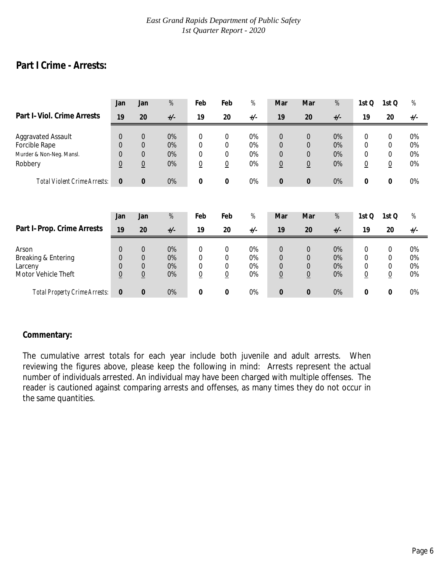# **Part I Crime - Arrests:**

|                                                                | Jan                                                                 | Jan                                                             | $% \mathcal{A}_{\mathrm{c}}$ | Feb                                                          | Feb                                                          | %                    | Mar                                                      | Mar                                                             | $% \mathcal{A}_{\mathrm{C}}\times\mathcal{A}_{\mathrm{C}}\times\mathcal{A}_{\mathrm{C}}$ | 1st Q                                    | 1st Q                          | $% \mathcal{A}_{\mathrm{C}}\times\mathcal{A}_{\mathrm{C}}\times\mathcal{A}_{\mathrm{C}}$ |
|----------------------------------------------------------------|---------------------------------------------------------------------|-----------------------------------------------------------------|------------------------------|--------------------------------------------------------------|--------------------------------------------------------------|----------------------|----------------------------------------------------------|-----------------------------------------------------------------|------------------------------------------------------------------------------------------|------------------------------------------|--------------------------------|------------------------------------------------------------------------------------------|
| Part I-Viol. Crime Arrests                                     | 19                                                                  | 20                                                              | $+/-$                        | 19                                                           | 20                                                           | $+/-$                | 19                                                       | 20                                                              | $+/-$                                                                                    | 19                                       | 20                             | $+/-$                                                                                    |
| <b>Aggravated Assault</b><br>Forcible Rape                     | $\mathbf{0}$<br>$\mathbf{0}$                                        | $\theta$<br>$\Omega$                                            | 0%<br>0%                     | $\mathbf 0$<br>$\mathbf 0$                                   | $\boldsymbol{0}$<br>$\boldsymbol{0}$                         | 0%<br>0%             | $\boldsymbol{0}$<br>$\boldsymbol{0}$                     | $\theta$<br>$\Omega$                                            | 0%<br>0%                                                                                 | $\mathbf 0$<br>0                         | 0<br>0                         | 0%<br>0%                                                                                 |
| Murder & Non-Neg. Mansl.<br>Robbery                            | $\overline{0}$<br>$\underline{0}$                                   | $\boldsymbol{0}$<br>$\underline{0}$                             | 0%<br>0%                     | $\mathbf 0$<br>$\underline{0}$                               | $\boldsymbol{0}$<br>$\underline{0}$                          | 0%<br>0%             | 0<br>$\underline{0}$                                     | $\overline{0}$<br>$\underline{0}$                               | 0%<br>0%                                                                                 | 0<br>$\underline{0}$                     | 0<br>$\underline{0}$           | 0%<br>0%                                                                                 |
| <b>Total Violent Crime Arrests:</b>                            | $\mathbf{0}$                                                        | $\bf{0}$                                                        | 0%                           | 0                                                            | $\pmb{0}$                                                    | 0%                   | $\boldsymbol{0}$                                         | $\pmb{0}$                                                       | 0%                                                                                       | 0                                        | 0                              | 0%                                                                                       |
|                                                                |                                                                     |                                                                 |                              |                                                              |                                                              |                      |                                                          |                                                                 |                                                                                          |                                          |                                |                                                                                          |
|                                                                | Jan                                                                 | Jan                                                             | %                            | Feb                                                          | Feb                                                          | %                    | Mar                                                      | Mar                                                             | %                                                                                        | 1st Q                                    | 1st Q                          | %                                                                                        |
| Part I-Prop. Crime Arrests                                     | 19                                                                  | 20                                                              | $+/-$                        | 19                                                           | 20                                                           | $+/-$                | 19                                                       | 20                                                              | $+/-$                                                                                    | 19                                       | 20                             | $+/-$                                                                                    |
| Arson<br>Breaking & Entering<br>Larceny<br>Motor Vehicle Theft | $\overline{0}$<br>$\mathbf{0}$<br>$\overline{0}$<br>$\underline{0}$ | $\overline{0}$<br>$\theta$<br>$\overline{0}$<br>$\underline{0}$ | 0%<br>0%<br>0%<br>0%         | $\mathbf 0$<br>$\mathbf 0$<br>$\mathbf 0$<br>$\underline{0}$ | $\mathbf 0$<br>$\mathbf 0$<br>$\mathbf 0$<br>$\underline{0}$ | 0%<br>0%<br>0%<br>0% | $\overline{0}$<br>$\overline{0}$<br>0<br>$\underline{0}$ | $\overline{0}$<br>$\Omega$<br>$\overline{0}$<br>$\underline{0}$ | 0%<br>0%<br>0%<br>0%                                                                     | 0<br>0<br>$\mathbf 0$<br>$\underline{0}$ | 0<br>0<br>0<br>$\underline{0}$ | 0%<br>0%<br>0%<br>0%                                                                     |
| <b>Total Property Crime Arrests:</b>                           | 0                                                                   | $\bf{0}$                                                        | 0%                           | $\bf{0}$                                                     | 0                                                            | 0%                   | $\bf{0}$                                                 | $\bf{0}$                                                        | 0%                                                                                       | 0                                        | 0                              | 0%                                                                                       |

#### **Commentary:**

The cumulative arrest totals for each year include both juvenile and adult arrests. When reviewing the figures above, please keep the following in mind: Arrests represent the actual number of individuals arrested. An individual may have been charged with multiple offenses. The reader is cautioned against comparing arrests and offenses, as many times they do not occur in the same quantities.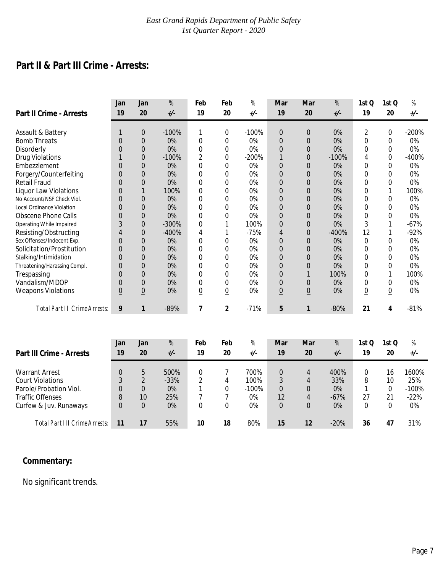# **Part II & Part III Crime - Arrests:**

|                                                     | Jan                  | Jan                              | %        | Feb                 | Feb            | %        | Mar                           | Mar             | %        | 1st Q          | 1stQ            | %        |
|-----------------------------------------------------|----------------------|----------------------------------|----------|---------------------|----------------|----------|-------------------------------|-----------------|----------|----------------|-----------------|----------|
| <b>Part II Crime - Arrests</b>                      | 19                   | 20                               | $+/-$    | 19                  | 20             | $+/-$    | 19                            | 20              | $+/-$    | 19             | 20              | +/-      |
|                                                     | 1                    |                                  |          |                     |                |          |                               |                 |          |                |                 |          |
| Assault & Battery                                   |                      | $\theta$                         | $-100%$  | 1                   | 0              | $-100%$  | $\overline{0}$                | 0               | 0%       | $\overline{2}$ | 0               | $-200%$  |
| <b>Bomb Threats</b>                                 | $\Omega$<br>$\Omega$ | $\theta$                         | 0%<br>0% | 0                   | 0              | 0%<br>0% | $\mathbf 0$                   | $\overline{0}$  | 0%<br>0% | $\Omega$<br>0  | 0               | 0%<br>0% |
| Disorderly                                          |                      | $\theta$                         | $-100%$  | 0<br>$\overline{2}$ | 0              | $-200%$  | $\Omega$                      | $\Omega$        | $-100%$  |                | 0               | $-400%$  |
| <b>Drug Violations</b><br>Embezzlement              |                      | $\theta$                         | 0%       | $\Omega$            | 0              | 0%       |                               | $\Omega$        | 0%       | 4<br>0         | 0               | 0%       |
|                                                     | 0<br>$\Omega$        | $\overline{0}$<br>$\Omega$       | 0%       |                     | 0              | 0%       | $\overline{0}$                | 0               | 0%       | 0              | 0               | 0%       |
| Forgery/Counterfeiting                              | $\Omega$             |                                  | 0%       | 0                   | 0              | 0%       | $\overline{0}$                | 0               | 0%       | $\Omega$       | 0               | 0%       |
| <b>Retail Fraud</b><br><b>Liquor Law Violations</b> | $\Omega$             | $\overline{0}$                   | 100%     | 0<br>0              | 0<br>0         | 0%       | $\mathbf 0$<br>$\Omega$       | 0<br>$\Omega$   | $0\%$    | 0              | 0               | 100%     |
| No Account/NSF Check Viol.                          |                      |                                  | 0%       |                     |                | 0%       |                               |                 | 0%       |                |                 | 0%       |
| <b>Local Ordinance Violation</b>                    | $\Omega$<br>$\Omega$ | $\overline{0}$<br>$\overline{0}$ | 0%       | 0<br>0              | 0<br>0         | 0%       | $\overline{0}$<br>$\mathbf 0$ | 0<br>$\Omega$   | 0%       | 0<br>$\Omega$  | 0<br>0          | 0%       |
| <b>Obscene Phone Calls</b>                          | $\Omega$             | $\Omega$                         | 0%       | $\Omega$            |                | 0%       |                               | $\Omega$        |          | $\Omega$       | 0               | 0%       |
|                                                     | 3                    |                                  | $-300%$  |                     | 0              | 100%     | $\mathbf 0$                   |                 | 0%<br>0% | 3              |                 | $-67%$   |
| Operating While Impaired                            |                      | $\overline{0}$                   | $-400%$  | 0<br>4              |                | $-75%$   | $\mathbf 0$                   | 0               | $-400%$  | 12             |                 | $-92%$   |
| Resisting/Obstructing<br>Sex Offenses/Indecent Exp. | 4<br>$\Omega$        | $\overline{0}$<br>$\Omega$       | 0%       | $\Omega$            |                | 0%       | $\overline{4}$                | 0<br>$\Omega$   | 0%       | $\Omega$       |                 | 0%       |
| Solicitation/Prostitution                           | $\Omega$             |                                  | 0%       |                     | 0              | 0%       | $\mathbf 0$                   |                 | 0%       | 0              | 0               | 0%       |
|                                                     |                      | $\overline{0}$                   | 0%       | 0                   | 0              | 0%       | $\overline{0}$                | 0               | 0%       |                | 0               | 0%       |
| Stalking/Intimidation                               | $\Omega$             | $\Omega$                         |          | 0                   | 0              |          | $\Omega$                      | $\Omega$        |          | 0              | 0               |          |
| Threatening/Harassing Compl.                        | $\Omega$             | $\overline{0}$                   | 0%       | 0                   | 0              | 0%       | $\mathbf 0$                   | 0               | 0%       | 0              | 0               | 0%       |
| Trespassing                                         | $\Omega$             | $\overline{0}$                   | 0%       | 0                   | 0              | 0%       | $\mathbf 0$                   |                 | 100%     | 0              |                 | 100%     |
| Vandalism/MDOP                                      | 0                    | $\Omega$                         | 0%       | 0                   | 0              | 0%       | $\mathbf 0$                   | 0               | $0\%$    | $\Omega$       | 0               | 0%       |
| <b>Weapons Violations</b>                           | $\underline{0}$      | $\overline{0}$                   | 0%       | $\overline{0}$      | $\overline{0}$ | 0%       | $\underline{0}$               | $\underline{0}$ | 0%       | $\overline{0}$ | $\underline{0}$ | 0%       |
| <b>Total Part II Crime Arrests:</b>                 | 9                    | 1                                | $-89%$   | $\overline{7}$      | $\overline{2}$ | $-71%$   | 5                             | 1               | $-80%$   | 21             | 4               | $-81%$   |
|                                                     |                      |                                  |          |                     |                |          |                               |                 |          |                |                 |          |
|                                                     |                      |                                  |          |                     |                |          |                               |                 |          |                |                 |          |
|                                                     | Jan                  | Jan                              | %        | Feb                 | Feb            | %        | Mar                           | Mar             | %        | 1stQ           | 1stQ            | %        |
| Part III Crime - Arrests                            | 19                   | 20                               | $+/-$    | 19                  | 20             | $+/-$    | 19                            | 20              | $+/-$    | 19             | 20              | $+/-$    |

| <b>FAILIII VIIIII C-MILCOLO</b> | $\blacksquare$ | Σv | $\cdot$ | $\blacksquare$ | ∠∪ | ,,      | $\blacksquare$ | ZV | $\cdot$ | $\blacksquare$ | ∠∪ |          |
|---------------------------------|----------------|----|---------|----------------|----|---------|----------------|----|---------|----------------|----|----------|
|                                 |                |    |         |                |    |         |                |    |         |                |    |          |
| <b>Warrant Arrest</b>           |                |    | 500%    |                |    | 700%    |                |    | 400%    |                | 16 | 1600%    |
| <b>Court Violations</b>         |                |    | $-33%$  |                | 4  | 100%    |                |    | 33%     | 8              | 10 | 25%      |
| Parole/Probation Viol.          |                |    | $0\%$   |                | 0  | $-100%$ | 0              |    | $0\%$   |                |    | $-100\%$ |
| <b>Traffic Offenses</b>         |                | 10 | 25%     |                |    | 0%      | 12             |    | $-67%$  | 27             | 21 | $-22%$   |
| Curfew & Juv. Runaways          |                |    | $0\%$   |                | 0  | 0%      |                |    | 0%      |                |    | 0%       |
|                                 |                |    |         |                |    |         |                |    |         |                |    |          |
| Total Part III Crime Arrests:   |                |    | 55%     | 10             | 18 | 80%     | 15             | 12 | $-20%$  | 36             | 47 | 31%      |

#### **Commentary:**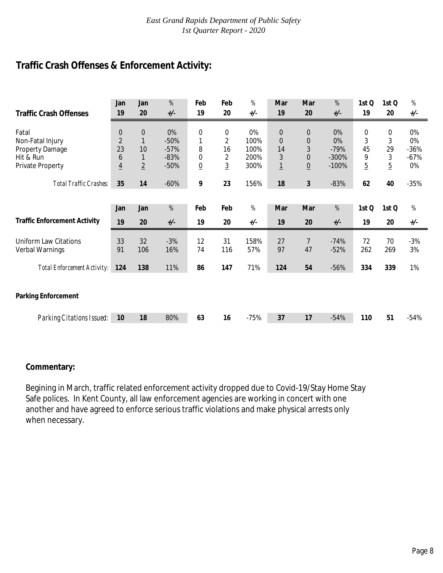# **Traffic Crash Offenses & Enforcement Activity:**

| <b>Traffic Crash Offenses</b>       | Jan<br>19      | Jan<br>20      | $% \mathcal{A}_{\mathrm{C}}\times\mathcal{A}_{\mathrm{C}}\times\mathcal{A}_{\mathrm{C}}$<br>$+/-$ | Feb<br>19       | Feb<br>20      | %<br>$+/-$ | Mar<br>19        | Mar<br>20       | $% \mathcal{A}_{\mathrm{C}}\times\mathcal{A}_{\mathrm{C}}\times\mathcal{A}_{\mathrm{C}}$<br>$+/-$ | 1st Q<br>19    | 1st Q<br>20    | $\%$<br>+/-                  |
|-------------------------------------|----------------|----------------|---------------------------------------------------------------------------------------------------|-----------------|----------------|------------|------------------|-----------------|---------------------------------------------------------------------------------------------------|----------------|----------------|------------------------------|
|                                     |                |                |                                                                                                   |                 |                |            |                  |                 |                                                                                                   |                |                |                              |
| Fatal                               | 0              | $\mathbf 0$    | 0%                                                                                                | 0               | 0              | 0%         | $\boldsymbol{0}$ | $\mathbf 0$     | 0%                                                                                                | 0              | 0              | 0%                           |
| Non-Fatal Injury                    | $\overline{2}$ | $\mathbf{1}$   | $-50%$                                                                                            | 1               | $\overline{2}$ | 100%       | $\mathbf 0$      | $\overline{0}$  | 0%                                                                                                | 3              | 3              | 0%                           |
| Property Damage                     | 23             | 10             | $-57%$                                                                                            | 8               | 16             | 100%       | 14               | 3               | $-79%$                                                                                            | 45             | 29             | $-36%$                       |
| Hit & Run                           | 6              | $\mathbf{1}$   | $-83%$                                                                                            | 0               | 2              | 200%       | $\mathfrak{Z}$   | $\overline{0}$  | $-300%$                                                                                           | 9              | 3              | $-67%$                       |
| Private Property                    | $\overline{4}$ | $\overline{2}$ | $-50%$                                                                                            | $\underline{0}$ | $\overline{3}$ | 300%       | $\overline{1}$   | $\underline{0}$ | $-100%$                                                                                           | $\overline{5}$ | $\overline{5}$ | 0%                           |
|                                     |                |                |                                                                                                   |                 |                |            |                  |                 |                                                                                                   |                |                |                              |
| Total Traffic Crashes:              | 35             | 14             | $-60%$                                                                                            | 9               | 23             | 156%       | 18               | 3               | $-83%$                                                                                            | 62             | 40             | $-35%$                       |
|                                     |                |                |                                                                                                   |                 |                |            |                  |                 |                                                                                                   |                |                |                              |
|                                     | Jan            | Jan            | %                                                                                                 | Feb             | Feb            | %          | Mar              | Mar             | %                                                                                                 | 1st Q          | 1st Q          | $% \mathcal{A}_{\mathrm{d}}$ |
| <b>Traffic Enforcement Activity</b> | 19             | 20             | $+/-$                                                                                             | 19              | 20             | $+/-$      | 19               | 20              | $+/-$                                                                                             | 19             | 20             | +/-                          |
|                                     |                |                |                                                                                                   |                 |                |            |                  |                 |                                                                                                   |                |                |                              |
| Uniform Law Citations               | 33             | 32             | $-3%$                                                                                             | 12              | 31             | 158%       | 27               | $\overline{7}$  | $-74%$                                                                                            | 72             | 70             | $-3%$                        |
| Verbal Warnings                     | 91             | 106            | 16%                                                                                               | 74              | 116            | 57%        | 97               | 47              | $-52%$                                                                                            | 262            | 269            | 3%                           |
| <b>Total Enforcement Activity:</b>  | 124            | 138            | 11%                                                                                               | 86              | 147            | 71%        | 124              | 54              | $-56%$                                                                                            | 334            | 339            | 1%                           |
|                                     |                |                |                                                                                                   |                 |                |            |                  |                 |                                                                                                   |                |                |                              |
|                                     |                |                |                                                                                                   |                 |                |            |                  |                 |                                                                                                   |                |                |                              |
| <b>Parking Enforcement</b>          |                |                |                                                                                                   |                 |                |            |                  |                 |                                                                                                   |                |                |                              |
|                                     |                |                |                                                                                                   |                 |                |            |                  |                 |                                                                                                   |                |                |                              |
| <b>Parking Citations Issued:</b>    | 10             | 18             | 80%                                                                                               | 63              | 16             | $-75%$     | 37               | 17              | $-54%$                                                                                            | 110            | 51             | $-54%$                       |

#### **Commentary:**

Begining in March, traffic related enforcement activity dropped due to Covid-19/Stay Home Stay Safe polices. In Kent County, all law enforcement agencies are working in concert with one another and have agreed to enforce serious traffic violations and make physical arrests only when necessary.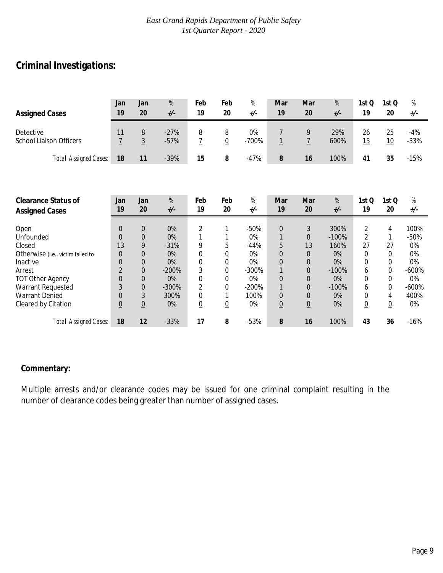# **Criminal Investigations:**

| <b>Assigned Cases</b>                         | Jan<br>19                | Jan<br>20                  | %<br>$+/-$                                                                                                                                                                 | Feb<br>19           | Feb<br>20           | $% \mathcal{A}_{\mathrm{C}}\times\mathcal{A}_{\mathrm{C}}\times\mathcal{A}_{\mathrm{C}}$<br>+/- | Mar<br>19                        | Mar<br>20                  | %<br>$+/-$  | 1st Q<br>19     | 1st Q<br>20     | $% \mathcal{A}_{\mathrm{C}}\times\mathcal{A}_{\mathrm{C}}\times\mathcal{A}_{\mathrm{C}}$<br>+/- |
|-----------------------------------------------|--------------------------|----------------------------|----------------------------------------------------------------------------------------------------------------------------------------------------------------------------|---------------------|---------------------|-------------------------------------------------------------------------------------------------|----------------------------------|----------------------------|-------------|-----------------|-----------------|-------------------------------------------------------------------------------------------------|
| Detective<br><b>School Liaison Officers</b>   | 11<br>$\overline{1}$     | $\, 8$<br>$\overline{3}$   | $-27%$<br>$-57%$                                                                                                                                                           | 8<br>$\overline{1}$ | 8<br>$\overline{0}$ | 0%<br>$-700%$                                                                                   | 7<br>$\overline{1}$              | 9<br>$\overline{1}$        | 29%<br>600% | 26<br>15        | 25<br>10        | $-4%$<br>$-33%$                                                                                 |
| <b>Total Assigned Cases:</b>                  | 18                       | 11                         | $-39%$                                                                                                                                                                     | 15                  | 8                   | $-47%$                                                                                          | 8                                | 16                         | 100%        | 41              | 35              | $-15%$                                                                                          |
|                                               |                          |                            |                                                                                                                                                                            |                     |                     |                                                                                                 |                                  |                            |             |                 |                 |                                                                                                 |
| <b>Clearance Status of</b>                    | Jan                      | Jan                        | $% \mathcal{A}_{\mathrm{C}}\times\mathcal{A}_{\mathrm{C}}^{\mathrm{C}}(\mathcal{A})\simeq\mathcal{A}_{\mathrm{C}}\times\mathcal{A}_{\mathrm{C}}^{\mathrm{C}}(\mathcal{A})$ | Feb                 | Feb                 | %                                                                                               | Mar                              | Mar                        | %           | 1st Q           | 1st Q           | $\%$                                                                                            |
| <b>Assigned Cases</b>                         | 19                       | 20                         | $+/-$                                                                                                                                                                      | 19                  | 20                  | $+/-$                                                                                           | 19                               | 20                         | $+/-$       | 19              | 20              | +/-                                                                                             |
| Open                                          | $\overline{0}$           | $\boldsymbol{0}$           | 0%                                                                                                                                                                         | $\overline{2}$      | 1                   | $-50%$                                                                                          | $\boldsymbol{0}$                 | $\mathfrak{Z}$             | 300%        | $\overline{2}$  | 4               | 100%                                                                                            |
| Unfounded                                     | $\Omega$                 | $\theta$                   | 0%                                                                                                                                                                         |                     |                     | 0%                                                                                              | 1                                | $\mathbf{0}$               | $-100%$     | $\overline{2}$  | 1               | $-50%$                                                                                          |
| Closed                                        | 13                       | 9                          | $-31%$                                                                                                                                                                     | 9                   | 5                   | $-44%$                                                                                          | 5                                | 13                         | 160%        | 27              | 27              | 0%                                                                                              |
| Otherwise (i.e., victim failed to<br>Inactive | $\Omega$<br>$\mathbf{0}$ | $\Omega$<br>$\overline{0}$ | 0%<br>0%                                                                                                                                                                   | 0<br>0              | 0                   | 0%<br>0%                                                                                        | $\overline{0}$<br>$\overline{0}$ | $\Omega$<br>$\overline{0}$ | 0%<br>0%    | 0<br>0          | 0               | 0%<br>0%                                                                                        |
| Arrest                                        | $\overline{2}$           | $\mathbf 0$                | $-200%$                                                                                                                                                                    | 3                   | 0<br>0              | $-300%$                                                                                         | $\mathbf{1}$                     | $\mathbf{0}$               | $-100%$     | 6               | 0<br>0          | $-600%$                                                                                         |
| <b>TOT Other Agency</b>                       | $\overline{0}$           | $\Omega$                   | 0%                                                                                                                                                                         | 0                   | 0                   | 0%                                                                                              | $\overline{0}$                   | $\overline{0}$             | 0%          | 0               | 0               | 0%                                                                                              |
| Warrant Requested                             | 3                        | $\overline{0}$             | $-300%$                                                                                                                                                                    | $\overline{2}$      | 0                   | $-200%$                                                                                         | $\mathbf{1}$                     | $\Omega$                   | $-100%$     | 6               | $\mathbf 0$     | $-600%$                                                                                         |
| <b>Warrant Denied</b>                         | $\mathbf{0}$             | 3                          | 300%                                                                                                                                                                       | 0                   |                     | 100%                                                                                            | $\boldsymbol{0}$                 | $\overline{0}$             | 0%          | 0               | 4               | 400%                                                                                            |
| Cleared by Citation                           | $\underline{0}$          | $\underline{0}$            | 0%                                                                                                                                                                         | $\underline{0}$     | $\underline{0}$     | 0%                                                                                              | $\underline{0}$                  | $\underline{0}$            | 0%          | $\underline{0}$ | $\underline{0}$ | 0%                                                                                              |
| <b>Total Assigned Cases:</b>                  | 18                       | 12                         | $-33%$                                                                                                                                                                     | 17                  | 8                   | $-53%$                                                                                          | 8                                | 16                         | 100%        | 43              | 36              | $-16%$                                                                                          |

#### **Commentary:**

Multiple arrests and/or clearance codes may be issued for one criminal complaint resulting in the number of clearance codes being greater than number of assigned cases.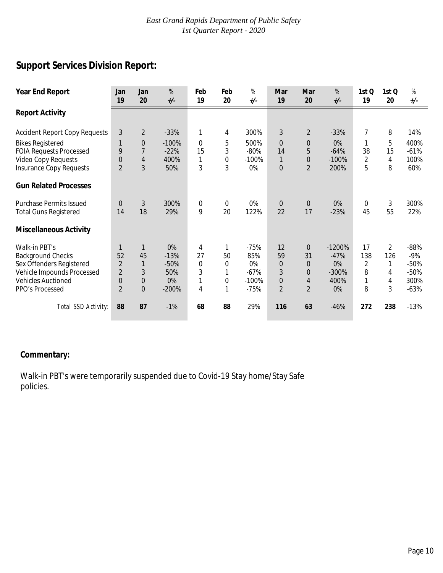# **Support Services Division Report:**

| <b>Year End Report</b>               | Jan<br>19      | Jan<br>20      | $% \mathcal{A}_{\mathrm{C}}\times\mathcal{A}_{\mathrm{C}}\times\mathcal{A}_{\mathrm{C}}$<br>$+/-$ | Feb<br>19   | Feb<br>20   | %<br>$+/-$ | Mar<br>19        | Mar<br>20      | %<br>$+/-$ | 1stQ<br>19     | 1stQ<br>20     | $% \mathcal{A}_{\mathrm{C}}\times\mathcal{A}_{\mathrm{C}}\times\mathcal{A}_{\mathrm{C}}$<br>$+/-$ |
|--------------------------------------|----------------|----------------|---------------------------------------------------------------------------------------------------|-------------|-------------|------------|------------------|----------------|------------|----------------|----------------|---------------------------------------------------------------------------------------------------|
| <b>Report Activity</b>               |                |                |                                                                                                   |             |             |            |                  |                |            |                |                |                                                                                                   |
| <b>Accident Report Copy Requests</b> | 3              | $\overline{2}$ | $-33%$                                                                                            | 1           | 4           | 300%       | $\mathfrak{Z}$   | $\overline{2}$ | $-33%$     | $\overline{7}$ | 8              | 14%                                                                                               |
| <b>Bikes Registered</b>              |                | $\mathbf 0$    | $-100%$                                                                                           | $\Omega$    | 5           | 500%       | $\overline{0}$   | $\mathbf 0$    | $0\%$      | 1              | 5              | 400%                                                                                              |
| <b>FOIA Requests Processed</b>       | 9              | $\overline{7}$ | $-22%$                                                                                            | 15          | 3           | $-80%$     | 14               | 5              | $-64%$     | 38             | 15             | $-61%$                                                                                            |
| Video Copy Requests                  | $\overline{0}$ | $\overline{4}$ | 400%                                                                                              | 1           | 0           | $-100%$    | $\mathbf{1}$     | $\mathbf{0}$   | $-100%$    | $\overline{2}$ | 4              | 100%                                                                                              |
| <b>Insurance Copy Requests</b>       | $\overline{2}$ | 3              | 50%                                                                                               | 3           | 3           | 0%         | $\boldsymbol{0}$ | $\overline{2}$ | 200%       | 5              | 8              | 60%                                                                                               |
| <b>Gun Related Processes</b>         |                |                |                                                                                                   |             |             |            |                  |                |            |                |                |                                                                                                   |
| <b>Purchase Permits Issued</b>       | $\Omega$       | 3              | 300%                                                                                              | $\mathbf 0$ | $\mathbf 0$ | $0\%$      | $\mathbf 0$      | $\Omega$       | 0%         | $\mathbf 0$    | 3              | 300%                                                                                              |
| <b>Total Guns Registered</b>         | 14             | 18             | 29%                                                                                               | 9           | 20          | 122%       | 22               | 17             | $-23%$     | 45             | 55             | 22%                                                                                               |
| <b>Miscellaneous Activity</b>        |                |                |                                                                                                   |             |             |            |                  |                |            |                |                |                                                                                                   |
| Walk-in PBT's                        | 1              | $\mathbf{1}$   | 0%                                                                                                | 4           | 1           | $-75%$     | 12               | $\overline{0}$ | $-1200%$   | 17             | $\overline{2}$ | $-88%$                                                                                            |
| <b>Background Checks</b>             | 52             | 45             | $-13%$                                                                                            | 27          | 50          | 85%        | 59               | 31             | $-47%$     | 138            | 126            | $-9%$                                                                                             |
| Sex Offenders Registered             | $\overline{2}$ | $\mathbf{1}$   | $-50%$                                                                                            | 0           | $\mathbf 0$ | 0%         | $\mathbf 0$      | $\Omega$       | 0%         | 2              | 1              | $-50%$                                                                                            |
| Vehicle Impounds Processed           | $\overline{2}$ | 3              | 50%                                                                                               | 3           |             | $-67%$     | 3                | $\Omega$       | $-300%$    | 8              | 4              | $-50%$                                                                                            |
| <b>Vehicles Auctioned</b>            | 0              | $\mathbf 0$    | 0%                                                                                                | 1           | 0           | $-100%$    | $\mathbf 0$      | 4              | 400%       | 1              | 4              | 300%                                                                                              |
| PPO's Processed                      | $\overline{2}$ | $\overline{0}$ | $-200%$                                                                                           | 4           | 1           | $-75%$     | $\overline{2}$   | $\overline{2}$ | $0\%$      | 8              | 3              | $-63%$                                                                                            |
| Total SSD Activity:                  | 88             | 87             | $-1%$                                                                                             | 68          | 88          | 29%        | 116              | 63             | $-46%$     | 272            | 238            | $-13%$                                                                                            |

#### **Commentary:**

Walk-in PBT's were temporarily suspended due to Covid-19 Stay home/Stay Safe policies.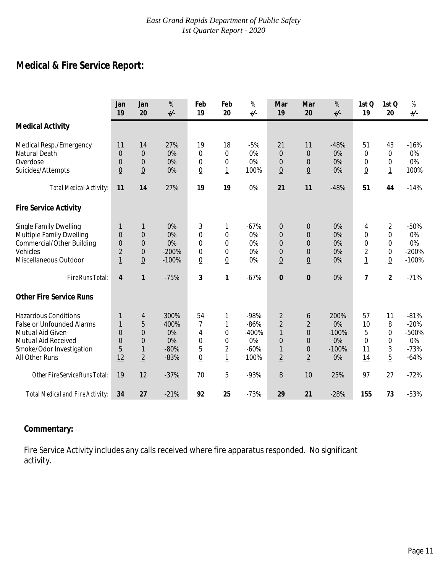# **Medical & Fire Service Report:**

|                                                                                                                                                          | Jan<br>19                                                | Jan<br>20                                                                 | $\%$<br>$+/-$                                | Feb<br>19                                                                    | Feb<br>20                                                  | $% \mathcal{A}_{\mathrm{C}}\times\mathcal{A}_{\mathrm{C}}\times\mathcal{A}_{\mathrm{C}}$<br>$+/-$ | Mar<br>19                                                                                            | Mar<br>20                                                                                   | %<br>$+/-$                                   | 1st Q<br>19                                                   | 1st Q<br>20                                                             | $\%$<br>$+/-$                                       |
|----------------------------------------------------------------------------------------------------------------------------------------------------------|----------------------------------------------------------|---------------------------------------------------------------------------|----------------------------------------------|------------------------------------------------------------------------------|------------------------------------------------------------|---------------------------------------------------------------------------------------------------|------------------------------------------------------------------------------------------------------|---------------------------------------------------------------------------------------------|----------------------------------------------|---------------------------------------------------------------|-------------------------------------------------------------------------|-----------------------------------------------------|
| <b>Medical Activity</b>                                                                                                                                  |                                                          |                                                                           |                                              |                                                                              |                                                            |                                                                                                   |                                                                                                      |                                                                                             |                                              |                                                               |                                                                         |                                                     |
| Medical Resp./Emergency<br><b>Natural Death</b><br>Overdose<br>Suicides/Attempts                                                                         | 11<br>$\overline{0}$<br>$\overline{0}$<br>$\overline{0}$ | 14<br>$\overline{0}$<br>$\overline{0}$<br>$\overline{0}$                  | 27%<br>0%<br>0%<br>0%                        | 19<br>0<br>0<br>$\underline{0}$                                              | 18<br>0<br>0<br>$\overline{1}$                             | $-5%$<br>0%<br>0%<br>100%                                                                         | 21<br>$\overline{0}$<br>$\overline{0}$<br>$\underline{0}$                                            | 11<br>$\overline{0}$<br>0<br>$\underline{0}$                                                | $-48%$<br>0%<br>0%<br>0%                     | 51<br>$\mathbf 0$<br>0<br>$\underline{0}$                     | 43<br>$\mathbf 0$<br>0<br>$\overline{1}$                                | $-16%$<br>0%<br>0%<br>100%                          |
| <b>Total Medical Activity:</b>                                                                                                                           | 11                                                       | 14                                                                        | 27%                                          | 19                                                                           | 19                                                         | 0%                                                                                                | 21                                                                                                   | 11                                                                                          | $-48%$                                       | 51                                                            | 44                                                                      | $-14%$                                              |
| <b>Fire Service Activity</b>                                                                                                                             |                                                          |                                                                           |                                              |                                                                              |                                                            |                                                                                                   |                                                                                                      |                                                                                             |                                              |                                                               |                                                                         |                                                     |
| <b>Single Family Dwelling</b><br><b>Multiple Family Dwelling</b><br>Commercial/Other Building<br>Vehicles<br>Miscellaneous Outdoor                       | 1<br>$\Omega$<br>0<br>$\overline{2}$<br>$\overline{1}$   | 1<br>$\overline{0}$<br>$\overline{0}$<br>$\overline{0}$<br>$\overline{0}$ | 0%<br>0%<br>0%<br>$-200%$<br>$-100%$         | 3<br>$\overline{0}$<br>$\overline{0}$<br>$\mathbf 0$<br>$\overline{0}$       | 1<br>0<br>$\Omega$<br>0<br>$\overline{0}$                  | $-67%$<br>0%<br>0%<br>0%<br>0%                                                                    | $\boldsymbol{0}$<br>$\Omega$<br>$\Omega$<br>$\overline{0}$<br>$\underline{0}$                        | 0<br>$\Omega$<br>$\Omega$<br>$\overline{0}$<br>$\underline{0}$                              | 0%<br>0%<br>0%<br>0%<br>0%                   | 4<br>$\Omega$<br>$\Omega$<br>$\overline{2}$<br>$\overline{1}$ | $\overline{2}$<br>$\overline{0}$<br>0<br>$\mathbf 0$<br>$\underline{0}$ | $-50%$<br>0%<br>0%<br>$-200%$<br>$-100%$            |
| Fire Runs Total:                                                                                                                                         | $\overline{4}$                                           | $\mathbf{1}$                                                              | $-75%$                                       | 3                                                                            | 1                                                          | $-67%$                                                                                            | $\mathbf{0}$                                                                                         | 0                                                                                           | 0%                                           | $\overline{7}$                                                | $\overline{2}$                                                          | $-71%$                                              |
| <b>Other Fire Service Runs</b>                                                                                                                           |                                                          |                                                                           |                                              |                                                                              |                                                            |                                                                                                   |                                                                                                      |                                                                                             |                                              |                                                               |                                                                         |                                                     |
| <b>Hazardous Conditions</b><br><b>False or Unfounded Alarms</b><br>Mutual Aid Given<br>Mutual Aid Received<br>Smoke/Odor Investigation<br>All Other Runs | 1<br>1<br>$\Omega$<br>$\overline{0}$<br>5<br>12          | 4<br>5<br>$\overline{0}$<br>$\overline{0}$<br>1<br>$\overline{2}$         | 300%<br>400%<br>0%<br>0%<br>$-80%$<br>$-83%$ | 54<br>$\overline{7}$<br>$\overline{4}$<br>$\mathbf 0$<br>5<br>$\overline{0}$ | 1<br>1<br>$\mathbf 0$<br>0<br>$\sqrt{2}$<br>$\overline{1}$ | -98%<br>$-86%$<br>$-400%$<br>0%<br>$-60%$<br>100%                                                 | $\overline{2}$<br>$\overline{2}$<br>$\mathbf{1}$<br>$\overline{0}$<br>$\mathbf{1}$<br>$\overline{2}$ | 6<br>$\overline{2}$<br>$\overline{0}$<br>$\overline{0}$<br>$\overline{0}$<br>$\overline{2}$ | 200%<br>0%<br>$-100%$<br>0%<br>$-100%$<br>0% | 57<br>10<br>5<br>$\Omega$<br>11<br>14                         | 11<br>8<br>$\mathbf 0$<br>$\mathbf 0$<br>3<br>$\overline{5}$            | $-81%$<br>$-20%$<br>-500%<br>0%<br>$-73%$<br>$-64%$ |
| Other Fire Service Runs Total:                                                                                                                           | 19                                                       | 12                                                                        | $-37%$                                       | 70                                                                           | 5                                                          | $-93%$                                                                                            | 8                                                                                                    | 10                                                                                          | 25%                                          | 97                                                            | 27                                                                      | $-72%$                                              |
| Total Medical and Fire Activity:                                                                                                                         | 34                                                       | 27                                                                        | $-21%$                                       | 92                                                                           | 25                                                         | $-73%$                                                                                            | 29                                                                                                   | 21                                                                                          | $-28%$                                       | 155                                                           | 73                                                                      | $-53%$                                              |

#### **Commentary:**

Fire Service Activity includes any calls received where fire apparatus responded. No significant activity.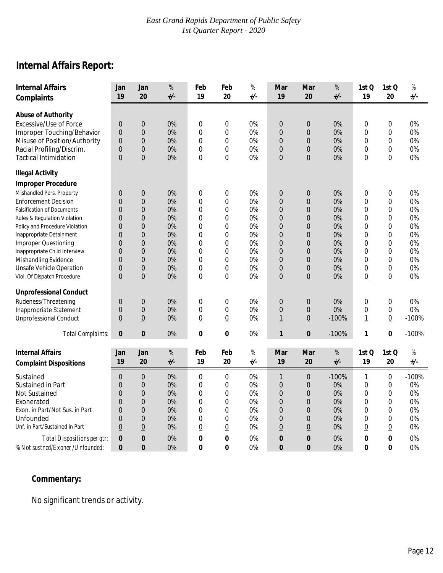# **Internal Affairs Report:**

| <b>Internal Affairs</b><br>Complaints | Jan<br>19        | Jan<br>20        | $\%$<br>$+/-$ | Feb<br>19       | Feb<br>20       | $% \mathcal{A}_{\mathrm{C}}\times\mathcal{A}_{\mathrm{C}}\times\mathcal{A}_{\mathrm{C}}$<br>+/- | Mar<br>19       | Mar<br>20        | $\%$<br>$_{+/-}$ | 1st Q<br>19    | 1st Q<br>20      | $\%$<br>$+/-$ |
|---------------------------------------|------------------|------------------|---------------|-----------------|-----------------|-------------------------------------------------------------------------------------------------|-----------------|------------------|------------------|----------------|------------------|---------------|
| <b>Abuse of Authority</b>             |                  |                  |               |                 |                 |                                                                                                 |                 |                  |                  |                |                  |               |
| Excessive/Use of Force                | $\boldsymbol{0}$ | $\boldsymbol{0}$ | 0%            | $\mathbf 0$     | $\mathbf 0$     | 0%                                                                                              | $\mathbf{0}$    | $\mathbf 0$      | 0%               | 0              | $\mathbf 0$      | 0%            |
| Improper Touching/Behavior            | $\overline{0}$   | $\overline{0}$   | 0%            | $\overline{0}$  | $\overline{0}$  | 0%                                                                                              | $\overline{0}$  | $\overline{0}$   | 0%               | $\mathbf 0$    | $\mathbf 0$      | 0%            |
| Misuse of Position/Authority          | $\overline{0}$   | $\boldsymbol{0}$ | 0%            | $\mathbf 0$     | $\mathbf 0$     | 0%                                                                                              | $\mathbf 0$     | $\mathbf 0$      | 0%               | 0              | $\mathbf 0$      | 0%            |
| Racial Profiling/Discrim.             | $\overline{0}$   | $\boldsymbol{0}$ | 0%            | $\mathbf 0$     | $\mathbf 0$     | 0%                                                                                              | $\mathbf 0$     | $\mathbf 0$      | 0%               | 0              | $\mathbf 0$      | 0%            |
| <b>Tactical Intimidation</b>          | $\overline{0}$   | $\overline{0}$   | 0%            | $\overline{0}$  | $\Omega$        | 0%                                                                                              | $\overline{0}$  | $\overline{0}$   | 0%               | $\overline{0}$ | 0                | 0%            |
| <b>Illegal Activity</b>               |                  |                  |               |                 |                 |                                                                                                 |                 |                  |                  |                |                  |               |
| <b>Improper Procedure</b>             |                  |                  |               |                 |                 |                                                                                                 |                 |                  |                  |                |                  |               |
| Mishandled Pers. Property             | 0                | $\boldsymbol{0}$ | 0%            | $\mathbf 0$     | $\mathbf 0$     | 0%                                                                                              | $\mathbf{0}$    | $\mathbf 0$      | 0%               | 0              | $\mathbf 0$      | 0%            |
| <b>Enforcement Decision</b>           | $\Omega$         | $\boldsymbol{0}$ | 0%            | $\overline{0}$  | $\Omega$        | 0%                                                                                              | $\overline{0}$  | $\overline{0}$   | 0%               | $\Omega$       | $\Omega$         | 0%            |
| <b>Falsification of Documents</b>     | $\Omega$         | $\overline{0}$   | 0%            | 0               | $\mathbf 0$     | 0%                                                                                              | $\overline{0}$  | $\overline{0}$   | 0%               | $\Omega$       | $\mathbf 0$      | 0%            |
| Rules & Regulation Violation          | $\Omega$         | $\overline{0}$   | 0%            | $\overline{0}$  | $\mathbf 0$     | 0%                                                                                              | $\overline{0}$  | $\overline{0}$   | 0%               | $\Omega$       | $\mathbf 0$      | 0%            |
| Policy and Procedure Violation        | $\overline{0}$   | $\overline{0}$   | 0%            | 0               | $\mathbf 0$     | 0%                                                                                              | $\overline{0}$  | $\overline{0}$   | 0%               | $\overline{0}$ | $\mathbf 0$      | 0%            |
| Inappropriate Detainment              | 0                | $\boldsymbol{0}$ | 0%            | $\overline{0}$  | $\mathbf 0$     | 0%                                                                                              | $\overline{0}$  | $\mathbf 0$      | 0%               | 0              | $\mathbf 0$      | 0%            |
| <b>Improper Questioning</b>           | $\overline{0}$   | $\overline{0}$   | 0%            | $\overline{0}$  | $\mathbf 0$     | 0%                                                                                              | $\overline{0}$  | $\overline{0}$   | 0%               | $\mathbf 0$    | $\mathbf 0$      | 0%            |
| Inappropriate Child Interview         | $\Omega$         | $\boldsymbol{0}$ | 0%            | 0               | $\overline{0}$  | 0%                                                                                              | $\overline{0}$  | $\overline{0}$   | 0%               | $\overline{0}$ | $\mathbf 0$      | 0%            |
| Mishandling Evidence                  | $\Omega$         | $\overline{0}$   | 0%            | 0               | $\mathbf 0$     | 0%                                                                                              | $\overline{0}$  | $\mathbf 0$      | 0%               | $\Omega$       | 0                | 0%            |
| Unsafe Vehicle Operation              | $\overline{0}$   | $\overline{0}$   | 0%            | $\overline{0}$  | $\mathbf 0$     | 0%                                                                                              | 0               | $\overline{0}$   | 0%               | $\Omega$       | $\overline{0}$   | 0%            |
| Viol. Of Dispatch Procedure           | $\overline{0}$   | $\overline{0}$   | 0%            | $\overline{0}$  | $\mathbf 0$     | 0%                                                                                              | $\overline{0}$  | $\overline{0}$   | 0%               | $\overline{0}$ | $\mathbf 0$      | 0%            |
| <b>Unprofessional Conduct</b>         |                  |                  |               |                 |                 |                                                                                                 |                 |                  |                  |                |                  |               |
| Rudeness/Threatening                  | 0                | $\boldsymbol{0}$ | 0%            | $\mathbf 0$     | $\mathbf 0$     | $0\%$                                                                                           | $\mathbf{0}$    | $\boldsymbol{0}$ | 0%               | $\mathbf 0$    | $\mathbf 0$      | 0%            |
| Inappropriate Statement               | 0                | $\overline{0}$   | 0%            | $\mathbf 0$     | $\mathbf 0$     | 0%                                                                                              | $\overline{0}$  | $\overline{0}$   | 0%               | $\mathbf 0$    | $\boldsymbol{0}$ | 0%            |
| <b>Unprofessional Conduct</b>         | $\underline{0}$  | $\underline{0}$  | 0%            | $\underline{0}$ | $\underline{0}$ | 0%                                                                                              | $\overline{1}$  | $\underline{0}$  | $-100%$          | $\overline{1}$ | $\underline{0}$  | $-100%$       |
| <b>Total Complaints:</b>              | 0                | $\bf{0}$         | 0%            | $\mathbf{0}$    | 0               | 0%                                                                                              | 1               | $\bf{0}$         | $-100%$          | 1              | 0                | $-100%$       |
| <b>Internal Affairs</b>               | Jan              | Jan              | $\%$          | Feb             | Feb             | $\%$                                                                                            | Mar             | Mar              | $\%$             | 1st Q          | 1st Q            | $\%$          |
| <b>Complaint Dispositions</b>         | 19               | 20               | $+/-$         | 19              | 20              | $+/-$                                                                                           | 19              | 20               | $+/-$            | 19             | 20               | $+/-$         |
| Sustained                             | 0                | $\overline{0}$   | 0%            | $\mathbf 0$     | $\mathbf 0$     | 0%                                                                                              | 1               | $\mathbf{0}$     | $-100%$          | 1              | 0                | $-100%$       |
| Sustained in Part                     | $\overline{0}$   | $\boldsymbol{0}$ | 0%            | $\mathbf 0$     | $\mathbf 0$     | 0%                                                                                              | $\overline{0}$  | $\overline{0}$   | 0%               | $\mathbf 0$    | $\mathbf 0$      | 0%            |
| Not Sustained                         | 0                | $\boldsymbol{0}$ | 0%            | $\mathbf 0$     | $\mathbf 0$     | 0%                                                                                              | $\mathbf{0}$    | $\mathbf 0$      | 0%               | 0              | $\mathbf 0$      | 0%            |
| Exonerated                            | $\overline{0}$   | $\overline{0}$   | 0%            | $\overline{0}$  | $\mathbf 0$     | 0%                                                                                              | $\overline{0}$  | $\overline{0}$   | 0%               | $\mathbf 0$    | $\mathbf 0$      | 0%            |
| Exon. in Part/Not Sus. in Part        | $\Omega$         | $\boldsymbol{0}$ | 0%            | 0               | $\overline{0}$  | 0%                                                                                              | $\overline{0}$  | $\overline{0}$   | 0%               | $\overline{0}$ | $\Omega$         | 0%            |
| Unfounded                             | 0                | $\overline{0}$   | 0%            | 0               | $\mathbf 0$     | 0%                                                                                              | 0               | $\mathbf 0$      | 0%               | 0              | 0                | 0%            |
| Unf. in Part/Sustained in Part        | $\overline{0}$   | $\underline{0}$  | 0%            | $\overline{0}$  | $\underline{0}$ | 0%                                                                                              | $\underline{0}$ | $\overline{0}$   | 0%               | $\overline{0}$ | $\underline{0}$  | 0%            |
| Total Dispositions per qtr:           | 0                | $\bf{0}$         | 0%            | 0               | $\bf{0}$        | 0%                                                                                              | 0               | $\bf{0}$         | 0%               | 0              | $\bf{0}$         | 0%            |
| % Not sustned/Exoner./Unfounded:      | 0                | $\mathbf{0}$     | 0%            | $\mathbf 0$     | $\mathbf 0$     | 0%                                                                                              | 0               | $\mathbf 0$      | 0%               | 0              | $\mathbf 0$      | 0%            |

# **Commentary:**

No significant trends or activity.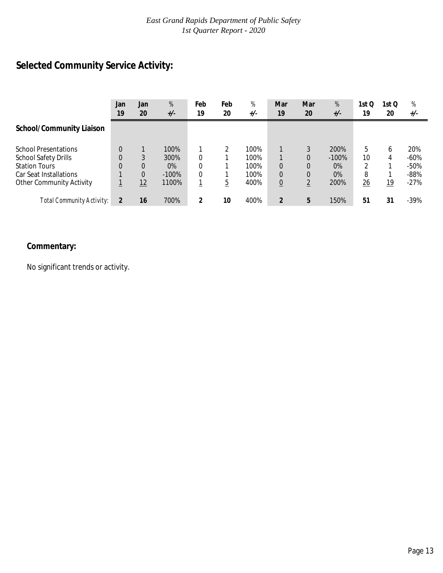# **Selected Community Service Activity:**

|                                                                                   | Jan<br>19 | Jan<br>20 | %<br>$+/-$                | Feb<br>19     | Feb<br>20 | %<br>$+/-$           | Mar<br>19                        | Mar<br>20 | %<br>$+/-$             | 1st Q<br>19  | 1st Q<br>20 | %<br>$+/-$                 |
|-----------------------------------------------------------------------------------|-----------|-----------|---------------------------|---------------|-----------|----------------------|----------------------------------|-----------|------------------------|--------------|-------------|----------------------------|
| <b>School/Community Liaison</b>                                                   |           |           |                           |               |           |                      |                                  |           |                        |              |             |                            |
| <b>School Presentations</b><br><b>School Safety Drills</b>                        | $\Omega$  | 3         | 100%<br>300%              | $\Omega$      |           | 100%<br>100%         |                                  | 0         | 200%<br>$-100%$        | 5<br>10<br>◠ | 6<br>4      | 20%<br>$-60\%$             |
| <b>Station Tours</b><br>Car Seat Installations<br><b>Other Community Activity</b> |           | 0<br>12   | $0\%$<br>$-100%$<br>1100% | $\Omega$<br>0 | 5         | 100%<br>100%<br>400% | $\Omega$<br>0<br>$\underline{0}$ | ↑         | $0\%$<br>$0\%$<br>200% | 8<br>26      | 19          | $-50%$<br>$-88%$<br>$-27%$ |
| Total Community Activity:                                                         |           | 16        | 700%                      | 2             | 10        | 400%                 | $\overline{2}$                   | 5         | 150%                   | 51           | 31          | $-39%$                     |

# **Commentary:**

No significant trends or activity.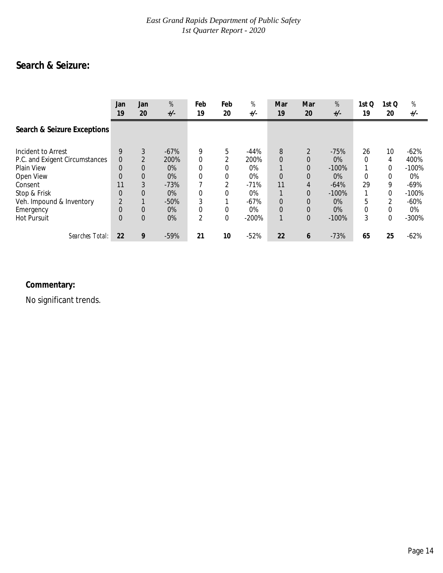# **Search & Seizure:**

|                                                                                                                                                                           | Jan<br>19                                           | Jan<br>20                                                   | %<br>$+/-$                                                                   | Feb<br>19                                           | Feb<br>20                                                 | %<br>$+/-$                                                                  | Mar<br>19                                                           | Mar<br>20                                 | %<br>$+/-$                                                                            | 1st Q<br>19                       | 1st Q<br>20                                | %<br>$+/-$                                                                      |
|---------------------------------------------------------------------------------------------------------------------------------------------------------------------------|-----------------------------------------------------|-------------------------------------------------------------|------------------------------------------------------------------------------|-----------------------------------------------------|-----------------------------------------------------------|-----------------------------------------------------------------------------|---------------------------------------------------------------------|-------------------------------------------|---------------------------------------------------------------------------------------|-----------------------------------|--------------------------------------------|---------------------------------------------------------------------------------|
| Search & Seizure Exceptions                                                                                                                                               |                                                     |                                                             |                                                                              |                                                     |                                                           |                                                                             |                                                                     |                                           |                                                                                       |                                   |                                            |                                                                                 |
| Incident to Arrest<br>P.C. and Exigent Circumstances<br>Plain View<br>Open View<br>Consent<br>Stop & Frisk<br>Veh. Impound & Inventory<br>Emergency<br><b>Hot Pursuit</b> | 9<br>0<br>$\Omega$<br>0<br>11<br>0<br>$\Omega$<br>0 | 3<br>$\Omega$<br>0<br>3<br>$\Omega$<br>$\Omega$<br>$\Omega$ | $-67%$<br>200%<br>$0\%$<br>$0\%$<br>$-73%$<br>$0\%$<br>$-50%$<br>$0\%$<br>0% | 9<br>$\Omega$<br>0<br>0<br>0<br>0<br>$\overline{2}$ | 5<br>2<br>$\Omega$<br>0<br>2<br>$\Omega$<br>$\Omega$<br>0 | $-44%$<br>200%<br>0%<br>0%<br>$-71%$<br>$0\%$<br>$-67%$<br>$0\%$<br>$-200%$ | 8<br>$\Omega$<br>$\overline{0}$<br>11<br>$\overline{0}$<br>$\Omega$ | 2<br>0<br>0<br>0<br>4<br>0<br>0<br>0<br>0 | $-75%$<br>$0\%$<br>$-100%$<br>$0\%$<br>$-64%$<br>$-100%$<br>$0\%$<br>$0\%$<br>$-100%$ | 26<br>0<br>0<br>29<br>5<br>0<br>3 | 10<br>4<br>0<br>0<br>9<br>0<br>2<br>0<br>0 | $-62%$<br>400%<br>$-100%$<br>0%<br>$-69%$<br>$-100%$<br>$-60%$<br>0%<br>$-300%$ |
| Searches Total:                                                                                                                                                           | 22                                                  | 9                                                           | $-59%$                                                                       | 21                                                  | 10                                                        | $-52%$                                                                      | 22                                                                  | 6                                         | $-73%$                                                                                | 65                                | 25                                         | $-62%$                                                                          |

# **Commentary:**